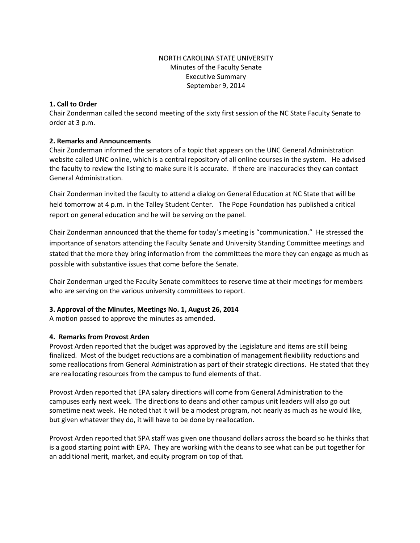# NORTH CAROLINA STATE UNIVERSITY Minutes of the Faculty Senate Executive Summary September 9, 2014

# **1. Call to Order**

Chair Zonderman called the second meeting of the sixty first session of the NC State Faculty Senate to order at 3 p.m.

# **2. Remarks and Announcements**

Chair Zonderman informed the senators of a topic that appears on the UNC General Administration website called UNC online, which is a central repository of all online courses in the system. He advised the faculty to review the listing to make sure it is accurate. If there are inaccuracies they can contact General Administration.

Chair Zonderman invited the faculty to attend a dialog on General Education at NC State that will be held tomorrow at 4 p.m. in the Talley Student Center. The Pope Foundation has published a critical report on general education and he will be serving on the panel.

Chair Zonderman announced that the theme for today's meeting is "communication." He stressed the importance of senators attending the Faculty Senate and University Standing Committee meetings and stated that the more they bring information from the committees the more they can engage as much as possible with substantive issues that come before the Senate.

Chair Zonderman urged the Faculty Senate committees to reserve time at their meetings for members who are serving on the various university committees to report.

# **3. Approval of the Minutes, Meetings No. 1, August 26, 2014**

A motion passed to approve the minutes as amended.

# **4. Remarks from Provost Arden**

Provost Arden reported that the budget was approved by the Legislature and items are still being finalized. Most of the budget reductions are a combination of management flexibility reductions and some reallocations from General Administration as part of their strategic directions. He stated that they are reallocating resources from the campus to fund elements of that.

Provost Arden reported that EPA salary directions will come from General Administration to the campuses early next week. The directions to deans and other campus unit leaders will also go out sometime next week. He noted that it will be a modest program, not nearly as much as he would like, but given whatever they do, it will have to be done by reallocation.

Provost Arden reported that SPA staff was given one thousand dollars across the board so he thinks that is a good starting point with EPA. They are working with the deans to see what can be put together for an additional merit, market, and equity program on top of that.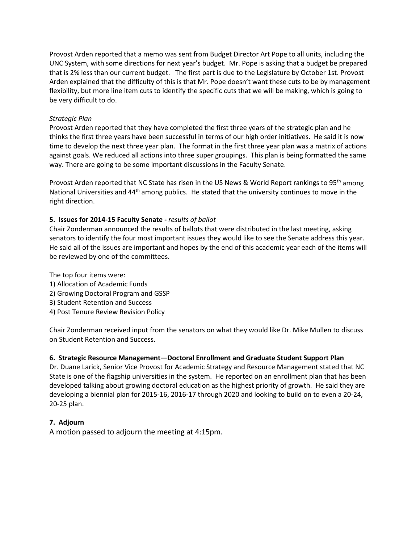Provost Arden reported that a memo was sent from Budget Director Art Pope to all units, including the UNC System, with some directions for next year's budget. Mr. Pope is asking that a budget be prepared that is 2% less than our current budget. The first part is due to the Legislature by October 1st. Provost Arden explained that the difficulty of this is that Mr. Pope doesn't want these cuts to be by management flexibility, but more line item cuts to identify the specific cuts that we will be making, which is going to be very difficult to do.

# *Strategic Plan*

Provost Arden reported that they have completed the first three years of the strategic plan and he thinks the first three years have been successful in terms of our high order initiatives. He said it is now time to develop the next three year plan. The format in the first three year plan was a matrix of actions against goals. We reduced all actions into three super groupings. This plan is being formatted the same way. There are going to be some important discussions in the Faculty Senate.

Provost Arden reported that NC State has risen in the US News & World Report rankings to 95<sup>th</sup> among National Universities and 44<sup>th</sup> among publics. He stated that the university continues to move in the right direction.

# **5. Issues for 2014-15 Faculty Senate -** *results of ballot*

Chair Zonderman announced the results of ballots that were distributed in the last meeting, asking senators to identify the four most important issues they would like to see the Senate address this year. He said all of the issues are important and hopes by the end of this academic year each of the items will be reviewed by one of the committees.

The top four items were:

- 1) Allocation of Academic Funds
- 2) Growing Doctoral Program and GSSP
- 3) Student Retention and Success
- 4) Post Tenure Review Revision Policy

Chair Zonderman received input from the senators on what they would like Dr. Mike Mullen to discuss on Student Retention and Success.

# **6. Strategic Resource Management—Doctoral Enrollment and Graduate Student Support Plan**

Dr. Duane Larick, Senior Vice Provost for Academic Strategy and Resource Management stated that NC State is one of the flagship universities in the system. He reported on an enrollment plan that has been developed talking about growing doctoral education as the highest priority of growth. He said they are developing a biennial plan for 2015-16, 2016-17 through 2020 and looking to build on to even a 20-24, 20-25 plan.

# **7. Adjourn**

A motion passed to adjourn the meeting at 4:15pm.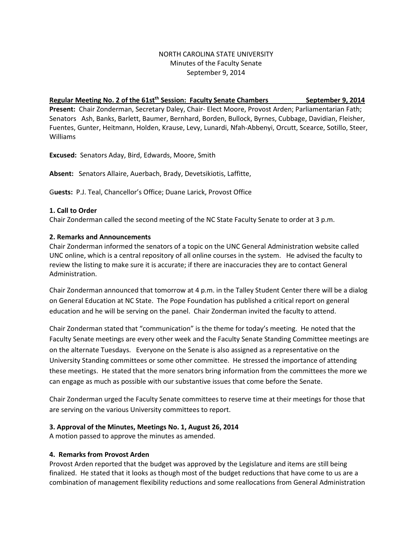# NORTH CAROLINA STATE UNIVERSITY Minutes of the Faculty Senate September 9, 2014

Regular Meeting No. 2 of the 61st<sup>th</sup> Session: Faculty Senate Chambers September 9, 2014 **Present:** Chair Zonderman, Secretary Daley, Chair- Elect Moore, Provost Arden; Parliamentarian Fath; Senators Ash, Banks, Barlett, Baumer, Bernhard, Borden, Bullock, Byrnes, Cubbage, Davidian, Fleisher, Fuentes, Gunter, Heitmann, Holden, Krause, Levy, Lunardi, Nfah-Abbenyi, Orcutt, Scearce, Sotillo, Steer, Williams

**Excused:** Senators Aday, Bird, Edwards, Moore, Smith

**Absent:** S*e*nators Allaire, Auerbach, Brady, Devetsikiotis, Laffitte,

G**uests:** P.J. Teal, Chancellor's Office; Duane Larick, Provost Office

### **1. Call to Order**

Chair Zonderman called the second meeting of the NC State Faculty Senate to order at 3 p.m.

### **2. Remarks and Announcements**

Chair Zonderman informed the senators of a topic on the UNC General Administration website called UNC online, which is a central repository of all online courses in the system. He advised the faculty to review the listing to make sure it is accurate; if there are inaccuracies they are to contact General Administration.

Chair Zonderman announced that tomorrow at 4 p.m. in the Talley Student Center there will be a dialog on General Education at NC State. The Pope Foundation has published a critical report on general education and he will be serving on the panel. Chair Zonderman invited the faculty to attend.

Chair Zonderman stated that "communication" is the theme for today's meeting. He noted that the Faculty Senate meetings are every other week and the Faculty Senate Standing Committee meetings are on the alternate Tuesdays. Everyone on the Senate is also assigned as a representative on the University Standing committees or some other committee. He stressed the importance of attending these meetings. He stated that the more senators bring information from the committees the more we can engage as much as possible with our substantive issues that come before the Senate.

Chair Zonderman urged the Faculty Senate committees to reserve time at their meetings for those that are serving on the various University committees to report.

#### **3. Approval of the Minutes, Meetings No. 1, August 26, 2014**

A motion passed to approve the minutes as amended.

#### **4. Remarks from Provost Arden**

Provost Arden reported that the budget was approved by the Legislature and items are still being finalized. He stated that it looks as though most of the budget reductions that have come to us are a combination of management flexibility reductions and some reallocations from General Administration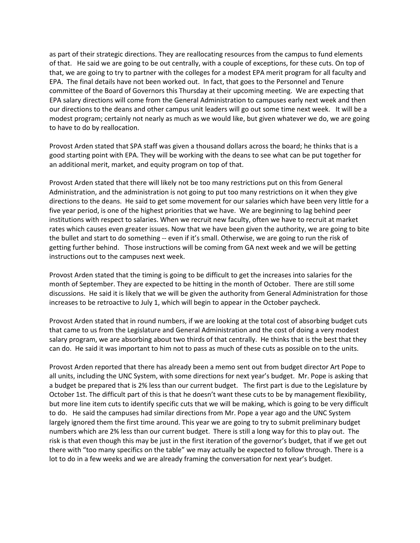as part of their strategic directions. They are reallocating resources from the campus to fund elements of that. He said we are going to be out centrally, with a couple of exceptions, for these cuts. On top of that, we are going to try to partner with the colleges for a modest EPA merit program for all faculty and EPA. The final details have not been worked out. In fact, that goes to the Personnel and Tenure committee of the Board of Governors this Thursday at their upcoming meeting. We are expecting that EPA salary directions will come from the General Administration to campuses early next week and then our directions to the deans and other campus unit leaders will go out some time next week. It will be a modest program; certainly not nearly as much as we would like, but given whatever we do, we are going to have to do by reallocation.

Provost Arden stated that SPA staff was given a thousand dollars across the board; he thinks that is a good starting point with EPA. They will be working with the deans to see what can be put together for an additional merit, market, and equity program on top of that.

Provost Arden stated that there will likely not be too many restrictions put on this from General Administration, and the administration is not going to put too many restrictions on it when they give directions to the deans. He said to get some movement for our salaries which have been very little for a five year period, is one of the highest priorities that we have. We are beginning to lag behind peer institutions with respect to salaries. When we recruit new faculty, often we have to recruit at market rates which causes even greater issues. Now that we have been given the authority, we are going to bite the bullet and start to do something -- even if it's small. Otherwise, we are going to run the risk of getting further behind. Those instructions will be coming from GA next week and we will be getting instructions out to the campuses next week.

Provost Arden stated that the timing is going to be difficult to get the increases into salaries for the month of September. They are expected to be hitting in the month of October. There are still some discussions. He said it is likely that we will be given the authority from General Administration for those increases to be retroactive to July 1, which will begin to appear in the October paycheck.

Provost Arden stated that in round numbers, if we are looking at the total cost of absorbing budget cuts that came to us from the Legislature and General Administration and the cost of doing a very modest salary program, we are absorbing about two thirds of that centrally. He thinks that is the best that they can do. He said it was important to him not to pass as much of these cuts as possible on to the units.

Provost Arden reported that there has already been a memo sent out from budget director Art Pope to all units, including the UNC System, with some directions for next year's budget. Mr. Pope is asking that a budget be prepared that is 2% less than our current budget. The first part is due to the Legislature by October 1st. The difficult part of this is that he doesn't want these cuts to be by management flexibility, but more line item cuts to identify specific cuts that we will be making, which is going to be very difficult to do. He said the campuses had similar directions from Mr. Pope a year ago and the UNC System largely ignored them the first time around. This year we are going to try to submit preliminary budget numbers which are 2% less than our current budget. There is still a long way for this to play out. The risk is that even though this may be just in the first iteration of the governor's budget, that if we get out there with "too many specifics on the table" we may actually be expected to follow through. There is a lot to do in a few weeks and we are already framing the conversation for next year's budget.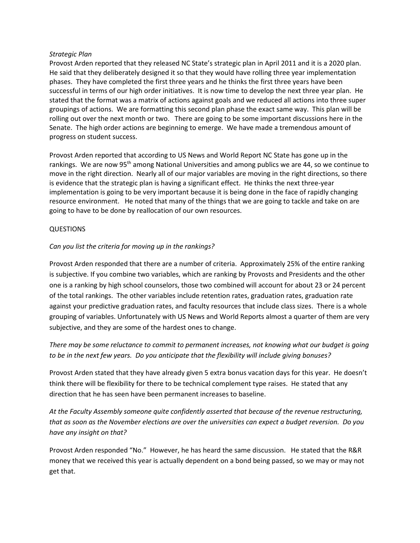## *Strategic Plan*

Provost Arden reported that they released NC State's strategic plan in April 2011 and it is a 2020 plan. He said that they deliberately designed it so that they would have rolling three year implementation phases. They have completed the first three years and he thinks the first three years have been successful in terms of our high order initiatives. It is now time to develop the next three year plan. He stated that the format was a matrix of actions against goals and we reduced all actions into three super groupings of actions. We are formatting this second plan phase the exact same way. This plan will be rolling out over the next month or two. There are going to be some important discussions here in the Senate. The high order actions are beginning to emerge. We have made a tremendous amount of progress on student success.

Provost Arden reported that according to US News and World Report NC State has gone up in the rankings. We are now 95<sup>th</sup> among National Universities and among publics we are 44, so we continue to move in the right direction. Nearly all of our major variables are moving in the right directions, so there is evidence that the strategic plan is having a significant effect. He thinks the next three-year implementation is going to be very important because it is being done in the face of rapidly changing resource environment. He noted that many of the things that we are going to tackle and take on are going to have to be done by reallocation of our own resources.

# QUESTIONS

# *Can you list the criteria for moving up in the rankings?*

Provost Arden responded that there are a number of criteria. Approximately 25% of the entire ranking is subjective. If you combine two variables, which are ranking by Provosts and Presidents and the other one is a ranking by high school counselors, those two combined will account for about 23 or 24 percent of the total rankings. The other variables include retention rates, graduation rates, graduation rate against your predictive graduation rates, and faculty resources that include class sizes. There is a whole grouping of variables. Unfortunately with US News and World Reports almost a quarter of them are very subjective, and they are some of the hardest ones to change.

*There may be some reluctance to commit to permanent increases, not knowing what our budget is going to be in the next few years. Do you anticipate that the flexibility will include giving bonuses?*

Provost Arden stated that they have already given 5 extra bonus vacation days for this year. He doesn't think there will be flexibility for there to be technical complement type raises. He stated that any direction that he has seen have been permanent increases to baseline.

*At the Faculty Assembly someone quite confidently asserted that because of the revenue restructuring, that as soon as the November elections are over the universities can expect a budget reversion. Do you have any insight on that?*

Provost Arden responded "No." However, he has heard the same discussion. He stated that the R&R money that we received this year is actually dependent on a bond being passed, so we may or may not get that.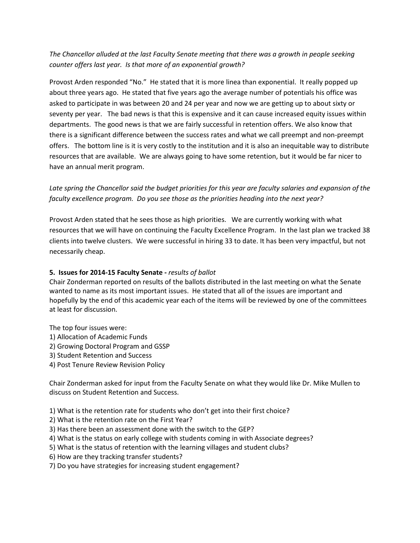# *The Chancellor alluded at the last Faculty Senate meeting that there was a growth in people seeking counter offers last year. Is that more of an exponential growth?*

Provost Arden responded "No." He stated that it is more linea than exponential. It really popped up about three years ago. He stated that five years ago the average number of potentials his office was asked to participate in was between 20 and 24 per year and now we are getting up to about sixty or seventy per year. The bad news is that this is expensive and it can cause increased equity issues within departments. The good news is that we are fairly successful in retention offers. We also know that there is a significant difference between the success rates and what we call preempt and non-preempt offers. The bottom line is it is very costly to the institution and it is also an inequitable way to distribute resources that are available. We are always going to have some retention, but it would be far nicer to have an annual merit program.

*Late spring the Chancellor said the budget priorities for this year are faculty salaries and expansion of the faculty excellence program. Do you see those as the priorities heading into the next year?*

Provost Arden stated that he sees those as high priorities. We are currently working with what resources that we will have on continuing the Faculty Excellence Program. In the last plan we tracked 38 clients into twelve clusters. We were successful in hiring 33 to date. It has been very impactful, but not necessarily cheap.

# **5. Issues for 2014-15 Faculty Senate -** *results of ballot*

Chair Zonderman reported on results of the ballots distributed in the last meeting on what the Senate wanted to name as its most important issues. He stated that all of the issues are important and hopefully by the end of this academic year each of the items will be reviewed by one of the committees at least for discussion.

The top four issues were:

- 1) Allocation of Academic Funds
- 2) Growing Doctoral Program and GSSP
- 3) Student Retention and Success
- 4) Post Tenure Review Revision Policy

Chair Zonderman asked for input from the Faculty Senate on what they would like Dr. Mike Mullen to discuss on Student Retention and Success.

1) What is the retention rate for students who don't get into their first choice?

- 2) What is the retention rate on the First Year?
- 3) Has there been an assessment done with the switch to the GEP?
- 4) What is the status on early college with students coming in with Associate degrees?
- 5) What is the status of retention with the learning villages and student clubs?
- 6) How are they tracking transfer students?
- 7) Do you have strategies for increasing student engagement?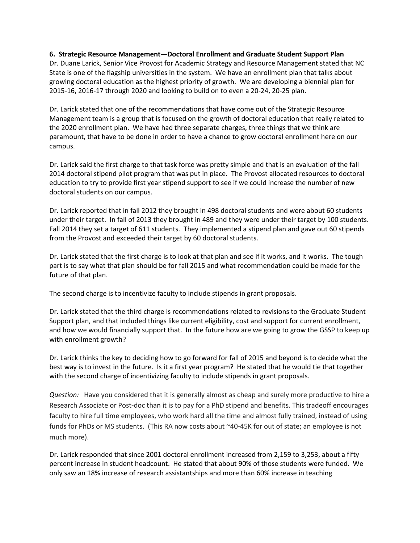## **6. Strategic Resource Management—Doctoral Enrollment and Graduate Student Support Plan**

Dr. Duane Larick, Senior Vice Provost for Academic Strategy and Resource Management stated that NC State is one of the flagship universities in the system. We have an enrollment plan that talks about growing doctoral education as the highest priority of growth. We are developing a biennial plan for 2015-16, 2016-17 through 2020 and looking to build on to even a 20-24, 20-25 plan.

Dr. Larick stated that one of the recommendations that have come out of the Strategic Resource Management team is a group that is focused on the growth of doctoral education that really related to the 2020 enrollment plan. We have had three separate charges, three things that we think are paramount, that have to be done in order to have a chance to grow doctoral enrollment here on our campus.

Dr. Larick said the first charge to that task force was pretty simple and that is an evaluation of the fall 2014 doctoral stipend pilot program that was put in place. The Provost allocated resources to doctoral education to try to provide first year stipend support to see if we could increase the number of new doctoral students on our campus.

Dr. Larick reported that in fall 2012 they brought in 498 doctoral students and were about 60 students under their target. In fall of 2013 they brought in 489 and they were under their target by 100 students. Fall 2014 they set a target of 611 students. They implemented a stipend plan and gave out 60 stipends from the Provost and exceeded their target by 60 doctoral students.

Dr. Larick stated that the first charge is to look at that plan and see if it works, and it works. The tough part is to say what that plan should be for fall 2015 and what recommendation could be made for the future of that plan.

The second charge is to incentivize faculty to include stipends in grant proposals.

Dr. Larick stated that the third charge is recommendations related to revisions to the Graduate Student Support plan, and that included things like current eligibility, cost and support for current enrollment, and how we would financially support that. In the future how are we going to grow the GSSP to keep up with enrollment growth?

Dr. Larick thinks the key to deciding how to go forward for fall of 2015 and beyond is to decide what the best way is to invest in the future. Is it a first year program? He stated that he would tie that together with the second charge of incentivizing faculty to include stipends in grant proposals.

*Question:* Have you considered that it is generally almost as cheap and surely more productive to hire a Research Associate or Post-doc than it is to pay for a PhD stipend and benefits. This tradeoff encourages faculty to hire full time employees, who work hard all the time and almost fully trained, instead of using funds for PhDs or MS students. (This RA now costs about ~40-45K for out of state; an employee is not much more).

Dr. Larick responded that since 2001 doctoral enrollment increased from 2,159 to 3,253, about a fifty percent increase in student headcount. He stated that about 90% of those students were funded. We only saw an 18% increase of research assistantships and more than 60% increase in teaching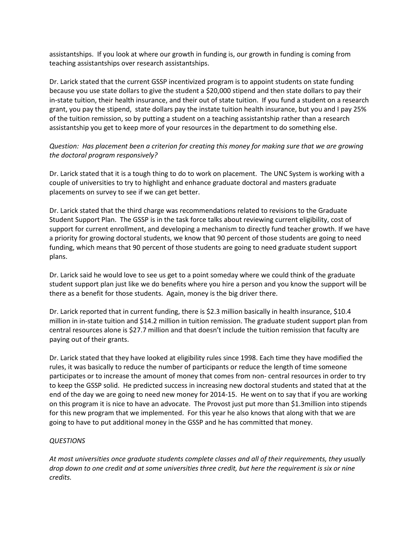assistantships. If you look at where our growth in funding is, our growth in funding is coming from teaching assistantships over research assistantships.

Dr. Larick stated that the current GSSP incentivized program is to appoint students on state funding because you use state dollars to give the student a \$20,000 stipend and then state dollars to pay their in-state tuition, their health insurance, and their out of state tuition. If you fund a student on a research grant, you pay the stipend, state dollars pay the instate tuition health insurance, but you and I pay 25% of the tuition remission, so by putting a student on a teaching assistantship rather than a research assistantship you get to keep more of your resources in the department to do something else.

*Question: Has placement been a criterion for creating this money for making sure that we are growing the doctoral program responsively?* 

Dr. Larick stated that it is a tough thing to do to work on placement. The UNC System is working with a couple of universities to try to highlight and enhance graduate doctoral and masters graduate placements on survey to see if we can get better.

Dr. Larick stated that the third charge was recommendations related to revisions to the Graduate Student Support Plan. The GSSP is in the task force talks about reviewing current eligibility, cost of support for current enrollment, and developing a mechanism to directly fund teacher growth. If we have a priority for growing doctoral students, we know that 90 percent of those students are going to need funding, which means that 90 percent of those students are going to need graduate student support plans.

Dr. Larick said he would love to see us get to a point someday where we could think of the graduate student support plan just like we do benefits where you hire a person and you know the support will be there as a benefit for those students. Again, money is the big driver there.

Dr. Larick reported that in current funding, there is \$2.3 million basically in health insurance, \$10.4 million in in-state tuition and \$14.2 million in tuition remission. The graduate student support plan from central resources alone is \$27.7 million and that doesn't include the tuition remission that faculty are paying out of their grants.

Dr. Larick stated that they have looked at eligibility rules since 1998. Each time they have modified the rules, it was basically to reduce the number of participants or reduce the length of time someone participates or to increase the amount of money that comes from non- central resources in order to try to keep the GSSP solid. He predicted success in increasing new doctoral students and stated that at the end of the day we are going to need new money for 2014-15. He went on to say that if you are working on this program it is nice to have an advocate. The Provost just put more than \$1.3million into stipends for this new program that we implemented. For this year he also knows that along with that we are going to have to put additional money in the GSSP and he has committed that money.

# *QUESTIONS*

*At most universities once graduate students complete classes and all of their requirements, they usually drop down to one credit and at some universities three credit, but here the requirement is six or nine credits.*